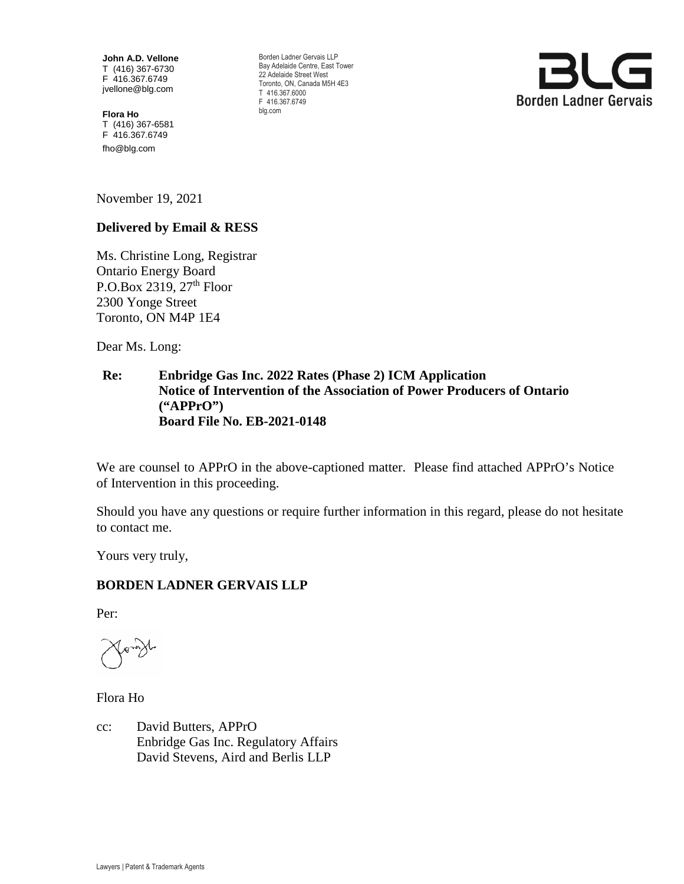**John A.D. Vellone**  T (416) 367-6730 F 416.367.6749 jvellone@blg.com

**Flora Ho**  T (416) 367-6581 F 416.367.6749 fho@blg.com

Borden Ladner Gervais LLP Bay Adelaide Centre, East Tower 22 Adelaide Street West Toronto, ON, Canada M5H 4E3 T 416.367.6000 F 416.367.6749 blg.com



November 19, 2021

# **Delivered by Email & RESS**

Ms. Christine Long, Registrar Ontario Energy Board P.O.Box 2319,  $27<sup>th</sup>$  Floor 2300 Yonge Street Toronto, ON M4P 1E4

Dear Ms. Long:

## **Re: Enbridge Gas Inc. 2022 Rates (Phase 2) ICM Application Notice of Intervention of the Association of Power Producers of Ontario ("APPrO") Board File No. EB-2021-0148**

We are counsel to APPrO in the above-captioned matter. Please find attached APPrO's Notice of Intervention in this proceeding.

Should you have any questions or require further information in this regard, please do not hesitate to contact me.

Yours very truly,

## **BORDEN LADNER GERVAIS LLP**

Per:

Flora Ho

cc: David Butters, APPrO Enbridge Gas Inc. Regulatory Affairs David Stevens, Aird and Berlis LLP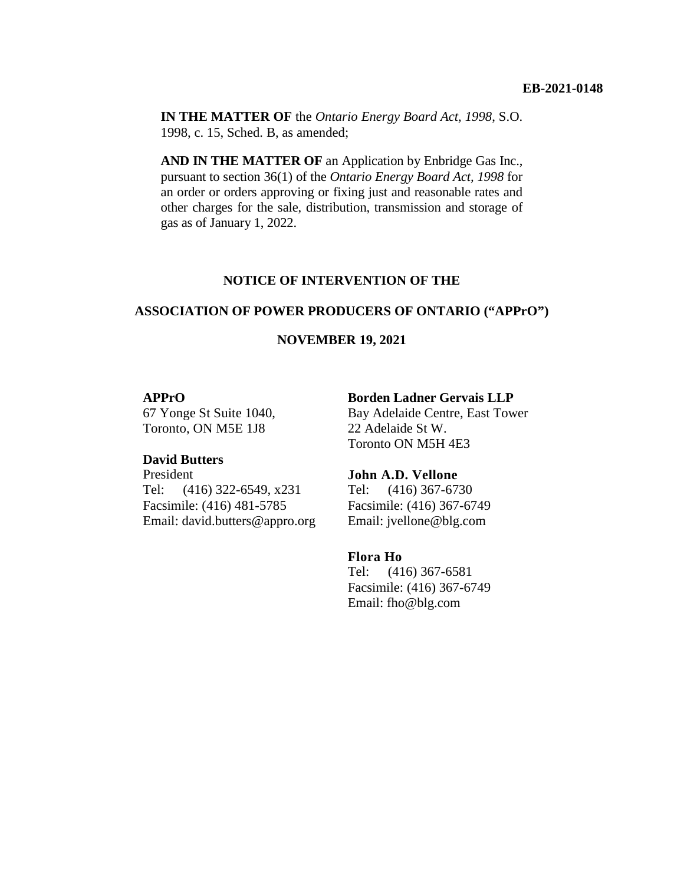**IN THE MATTER OF** the *Ontario Energy Board Act, 1998*, S.O. 1998, c. 15, Sched. B, as amended;

**AND IN THE MATTER OF** an Application by Enbridge Gas Inc., pursuant to section 36(1) of the *Ontario Energy Board Act, 1998* for an order or orders approving or fixing just and reasonable rates and other charges for the sale, distribution, transmission and storage of gas as of January 1, 2022.

#### **NOTICE OF INTERVENTION OF THE**

#### **ASSOCIATION OF POWER PRODUCERS OF ONTARIO ("APPrO")**

#### **NOVEMBER 19, 2021**

#### **APPrO**

67 Yonge St Suite 1040, Toronto, ON M5E 1J8

#### **David Butters**

President Tel: (416) 322-6549, x231 Facsimile: (416) 481-5785 Email: david.butters@appro.org

#### **Borden Ladner Gervais LLP**

Bay Adelaide Centre, East Tower 22 Adelaide St W. Toronto ON M5H 4E3

#### **John A.D. Vellone**

Tel: (416) 367-6730 Facsimile: (416) 367-6749 Email: jvellone@blg.com

#### **Flora Ho**

Tel: (416) 367-6581 Facsimile: (416) 367-6749 Email: fho@blg.com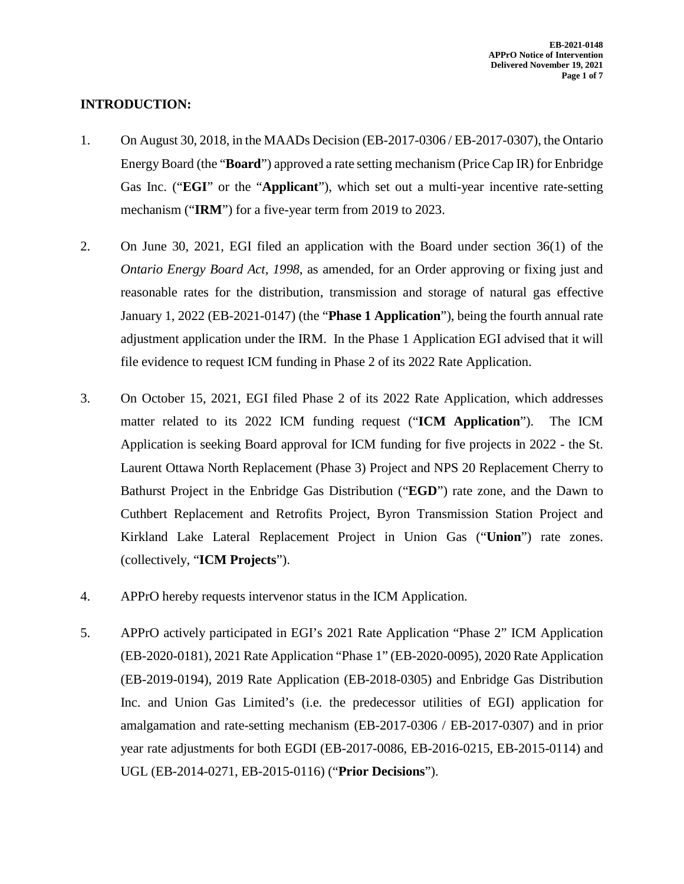# **INTRODUCTION:**

- 1. On August 30, 2018, in the MAADs Decision (EB-2017-0306 / EB-2017-0307), the Ontario Energy Board (the "**Board**") approved a rate setting mechanism (Price Cap IR) for Enbridge Gas Inc. ("**EGI**" or the "**Applicant**"), which set out a multi-year incentive rate-setting mechanism ("**IRM**") for a five-year term from 2019 to 2023.
- 2. On June 30, 2021, EGI filed an application with the Board under section 36(1) of the *Ontario Energy Board Act, 1998*, as amended, for an Order approving or fixing just and reasonable rates for the distribution, transmission and storage of natural gas effective January 1, 2022 (EB-2021-0147) (the "**Phase 1 Application**"), being the fourth annual rate adjustment application under the IRM. In the Phase 1 Application EGI advised that it will file evidence to request ICM funding in Phase 2 of its 2022 Rate Application.
- 3. On October 15, 2021, EGI filed Phase 2 of its 2022 Rate Application, which addresses matter related to its 2022 ICM funding request ("**ICM Application**"). The ICM Application is seeking Board approval for ICM funding for five projects in 2022 - the St. Laurent Ottawa North Replacement (Phase 3) Project and NPS 20 Replacement Cherry to Bathurst Project in the Enbridge Gas Distribution ("**EGD**") rate zone, and the Dawn to Cuthbert Replacement and Retrofits Project, Byron Transmission Station Project and Kirkland Lake Lateral Replacement Project in Union Gas ("**Union**") rate zones. (collectively, "**ICM Projects**").
- 4. APPrO hereby requests intervenor status in the ICM Application.
- 5. APPrO actively participated in EGI's 2021 Rate Application "Phase 2" ICM Application (EB-2020-0181), 2021 Rate Application "Phase 1" (EB-2020-0095), 2020 Rate Application (EB-2019-0194), 2019 Rate Application (EB-2018-0305) and Enbridge Gas Distribution Inc. and Union Gas Limited's (i.e. the predecessor utilities of EGI) application for amalgamation and rate-setting mechanism (EB-2017-0306 / EB-2017-0307) and in prior year rate adjustments for both EGDI (EB-2017-0086, EB-2016-0215, EB-2015-0114) and UGL (EB-2014-0271, EB-2015-0116) ("**Prior Decisions**").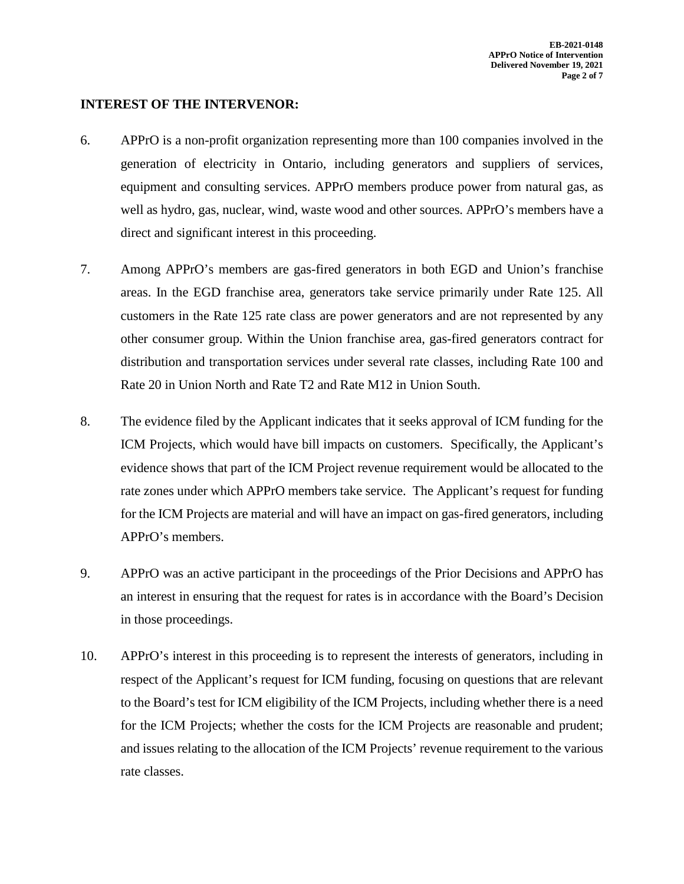## **INTEREST OF THE INTERVENOR:**

- 6. APPrO is a non-profit organization representing more than 100 companies involved in the generation of electricity in Ontario, including generators and suppliers of services, equipment and consulting services. APPrO members produce power from natural gas, as well as hydro, gas, nuclear, wind, waste wood and other sources. APPrO's members have a direct and significant interest in this proceeding.
- 7. Among APPrO's members are gas-fired generators in both EGD and Union's franchise areas. In the EGD franchise area, generators take service primarily under Rate 125. All customers in the Rate 125 rate class are power generators and are not represented by any other consumer group. Within the Union franchise area, gas-fired generators contract for distribution and transportation services under several rate classes, including Rate 100 and Rate 20 in Union North and Rate T2 and Rate M12 in Union South.
- 8. The evidence filed by the Applicant indicates that it seeks approval of ICM funding for the ICM Projects, which would have bill impacts on customers. Specifically, the Applicant's evidence shows that part of the ICM Project revenue requirement would be allocated to the rate zones under which APPrO members take service. The Applicant's request for funding for the ICM Projects are material and will have an impact on gas-fired generators, including APPrO's members.
- 9. APPrO was an active participant in the proceedings of the Prior Decisions and APPrO has an interest in ensuring that the request for rates is in accordance with the Board's Decision in those proceedings.
- 10. APPrO's interest in this proceeding is to represent the interests of generators, including in respect of the Applicant's request for ICM funding, focusing on questions that are relevant to the Board's test for ICM eligibility of the ICM Projects, including whether there is a need for the ICM Projects; whether the costs for the ICM Projects are reasonable and prudent; and issues relating to the allocation of the ICM Projects' revenue requirement to the various rate classes.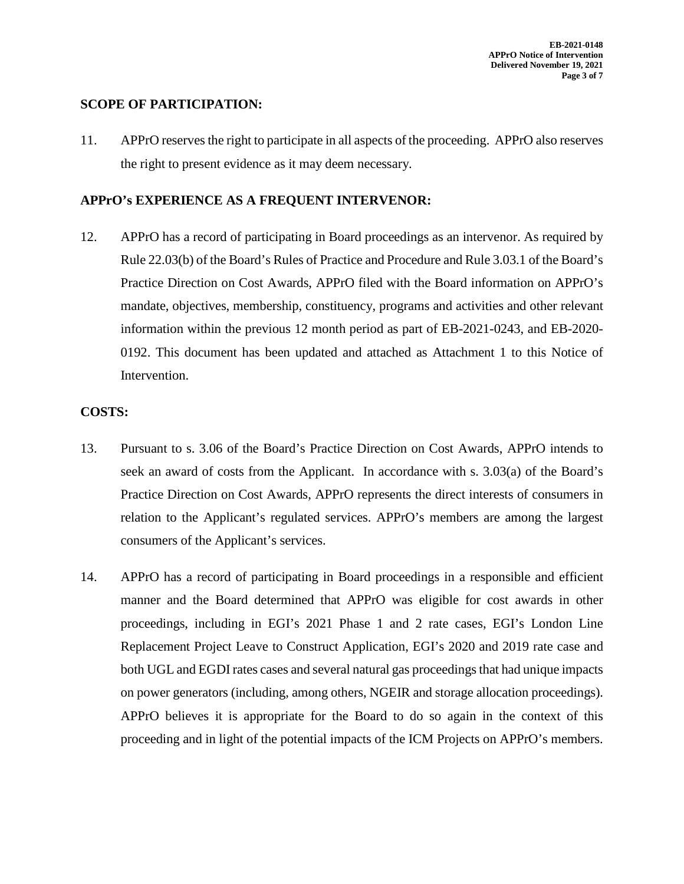## **SCOPE OF PARTICIPATION:**

11. APPrO reserves the right to participate in all aspects of the proceeding. APPrO also reserves the right to present evidence as it may deem necessary.

#### **APPrO's EXPERIENCE AS A FREQUENT INTERVENOR:**

12. APPrO has a record of participating in Board proceedings as an intervenor. As required by Rule 22.03(b) of the Board's Rules of Practice and Procedure and Rule 3.03.1 of the Board's Practice Direction on Cost Awards, APPrO filed with the Board information on APPrO's mandate, objectives, membership, constituency, programs and activities and other relevant information within the previous 12 month period as part of EB-2021-0243, and EB-2020- 0192. This document has been updated and attached as Attachment 1 to this Notice of Intervention.

## **COSTS:**

- 13. Pursuant to s. 3.06 of the Board's Practice Direction on Cost Awards, APPrO intends to seek an award of costs from the Applicant. In accordance with s. 3.03(a) of the Board's Practice Direction on Cost Awards, APPrO represents the direct interests of consumers in relation to the Applicant's regulated services. APPrO's members are among the largest consumers of the Applicant's services.
- 14. APPrO has a record of participating in Board proceedings in a responsible and efficient manner and the Board determined that APPrO was eligible for cost awards in other proceedings, including in EGI's 2021 Phase 1 and 2 rate cases, EGI's London Line Replacement Project Leave to Construct Application, EGI's 2020 and 2019 rate case and both UGL and EGDI rates cases and several natural gas proceedings that had unique impacts on power generators (including, among others, NGEIR and storage allocation proceedings). APPrO believes it is appropriate for the Board to do so again in the context of this proceeding and in light of the potential impacts of the ICM Projects on APPrO's members.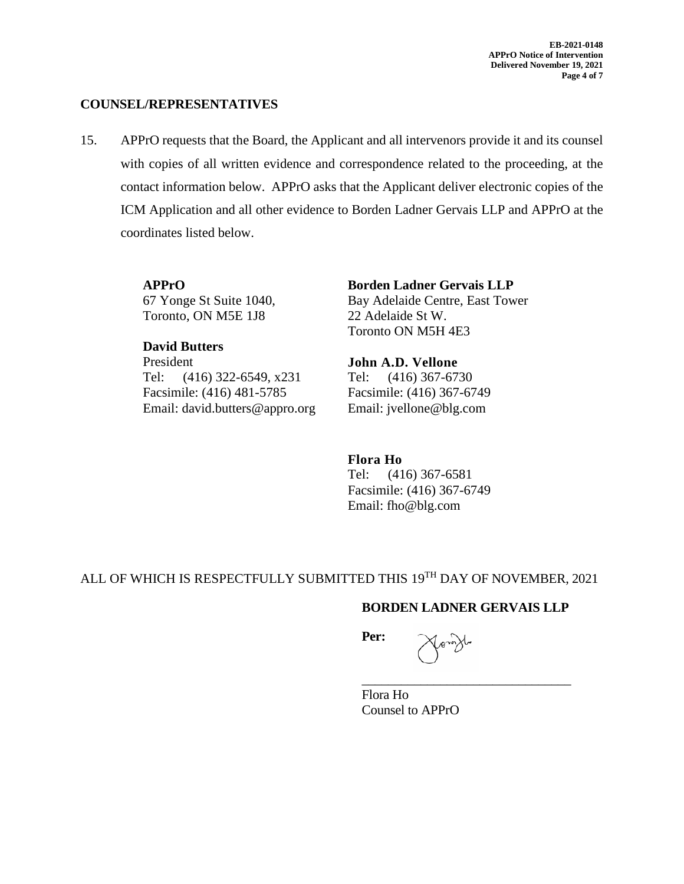**EB-2021-0148 APPrO Notice of Intervention Delivered November 19, 2021 Page 4 of 7**

#### **COUNSEL/REPRESENTATIVES**

15. APPrO requests that the Board, the Applicant and all intervenors provide it and its counsel with copies of all written evidence and correspondence related to the proceeding, at the contact information below. APPrO asks that the Applicant deliver electronic copies of the ICM Application and all other evidence to Borden Ladner Gervais LLP and APPrO at the coordinates listed below.

> **APPrO**  67 Yonge St Suite 1040, Toronto, ON M5E 1J8

**David Butters**  President Tel: (416) 322-6549, x231 Facsimile: (416) 481-5785 Email: david.butters@appro.org **Borden Ladner Gervais LLP**  Bay Adelaide Centre, East Tower 22 Adelaide St W. Toronto ON M5H 4E3

**John A.D. Vellone** Tel: (416) 367-6730 Facsimile: (416) 367-6749 Email: jvellone@blg.com

**Flora Ho** Tel: (416) 367-6581 Facsimile: (416) 367-6749 Email: fho@blg.com

ALL OF WHICH IS RESPECTFULLY SUBMITTED THIS 19TH DAY OF NOVEMBER, 2021

## **BORDEN LADNER GERVAIS LLP**

\_\_\_\_\_\_\_\_\_\_\_\_\_\_\_\_\_\_\_\_\_\_\_\_\_\_\_\_\_\_\_\_

**Per:**

Flora Ho Counsel to APPrO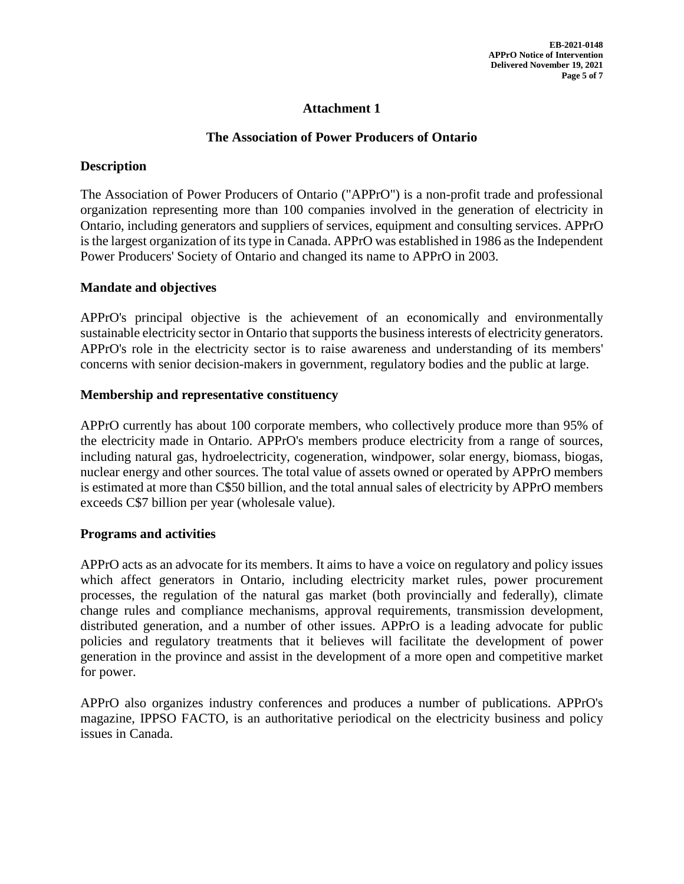# **Attachment 1**

## **The Association of Power Producers of Ontario**

# **Description**

The Association of Power Producers of Ontario ("APPrO") is a non-profit trade and professional organization representing more than 100 companies involved in the generation of electricity in Ontario, including generators and suppliers of services, equipment and consulting services. APPrO is the largest organization of its type in Canada. APPrO was established in 1986 as the Independent Power Producers' Society of Ontario and changed its name to APPrO in 2003.

## **Mandate and objectives**

APPrO's principal objective is the achievement of an economically and environmentally sustainable electricity sector in Ontario that supports the business interests of electricity generators. APPrO's role in the electricity sector is to raise awareness and understanding of its members' concerns with senior decision-makers in government, regulatory bodies and the public at large.

## **Membership and representative constituency**

APPrO currently has about 100 corporate members, who collectively produce more than 95% of the electricity made in Ontario. APPrO's members produce electricity from a range of sources, including natural gas, hydroelectricity, cogeneration, windpower, solar energy, biomass, biogas, nuclear energy and other sources. The total value of assets owned or operated by APPrO members is estimated at more than C\$50 billion, and the total annual sales of electricity by APPrO members exceeds C\$7 billion per year (wholesale value).

## **Programs and activities**

APPrO acts as an advocate for its members. It aims to have a voice on regulatory and policy issues which affect generators in Ontario, including electricity market rules, power procurement processes, the regulation of the natural gas market (both provincially and federally), climate change rules and compliance mechanisms, approval requirements, transmission development, distributed generation, and a number of other issues. APPrO is a leading advocate for public policies and regulatory treatments that it believes will facilitate the development of power generation in the province and assist in the development of a more open and competitive market for power.

APPrO also organizes industry conferences and produces a number of publications. APPrO's magazine, IPPSO FACTO, is an authoritative periodical on the electricity business and policy issues in Canada.